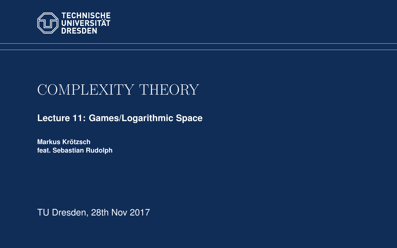<span id="page-0-0"></span>

# COMPLEXITY THEORY

**[Lecture 11: Games/Logarithmic Space](https://iccl.inf.tu-dresden.de/web/Complexity_Theory_(WS2017/18))**

**[Markus Krotzsch](https://iccl.inf.tu-dresden.de/web/Markus_Kroetzsch/en) ¨ feat. [Sebastian Rudolph](https://iccl.inf.tu-dresden.de/web/Sebastian Rudolph/en)**

TU Dresden, 28th Nov 2017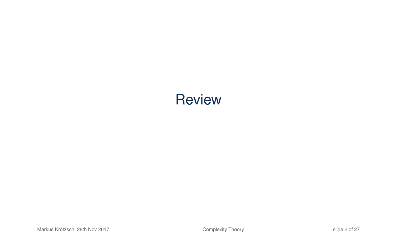# **Review**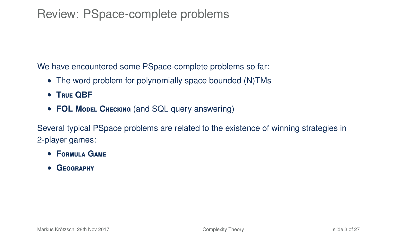### Review: PSpace-complete problems

We have encountered some PSpace-complete problems so far:

- The word problem for polynomially space bounded (N)TMs
- **T**rue **QBF**
- **FOL Model CHECKING** (and SQL query answering)

Several typical PSpace problems are related to the existence of winning strategies in 2-player games:

- **F**ormula **G**ame
- **G**eography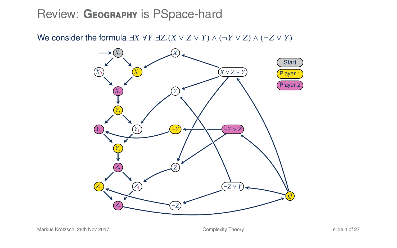#### Review: GEOGRAPHY is PSpace-hard

We consider the formula  $\exists X.\forall Y.\exists Z.(X \lor Z \lor Y) \land (\neg Y \lor Z) \land (\neg Z \lor Y)$ 

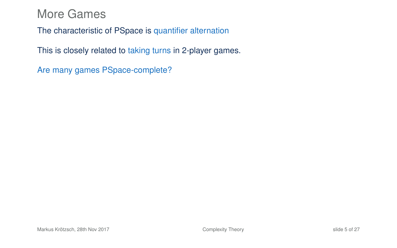The characteristic of PSpace is quantifier alternation

This is closely related to taking turns in 2-player games.

Are many games PSpace-complete?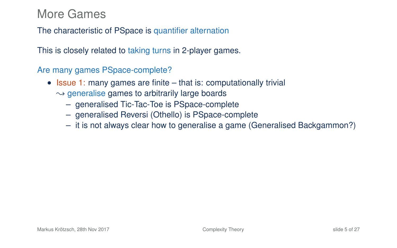The characteristic of PSpace is quantifier alternation

This is closely related to taking turns in 2-player games.

Are many games PSpace-complete?

- Issue 1: many games are finite that is: computationally trivial  $\rightarrow$  generalise games to arbitrarily large boards
	- generalised Tic-Tac-Toe is PSpace-complete
	- generalised Reversi (Othello) is PSpace-complete
	- it is not always clear how to generalise a game (Generalised Backgammon?)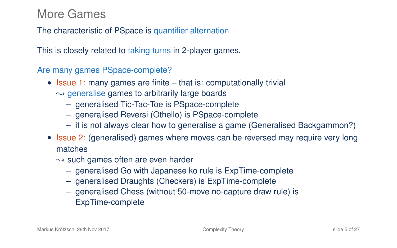The characteristic of PSpace is quantifier alternation

This is closely related to taking turns in 2-player games.

Are many games PSpace-complete?

- Issue 1: many games are finite that is: computationally trivial  $\rightarrow$  generalise games to arbitrarily large boards
	- generalised Tic-Tac-Toe is PSpace-complete
	- generalised Reversi (Othello) is PSpace-complete
	- it is not always clear how to generalise a game (Generalised Backgammon?)
- Issue 2: (generalised) games where moves can be reversed may require very long matches
	- $\rightarrow$  such games often are even harder
		- generalised Go with Japanese ko rule is ExpTime-complete
		- generalised Draughts (Checkers) is ExpTime-complete
		- generalised Chess (without 50-move no-capture draw rule) is ExpTime-complete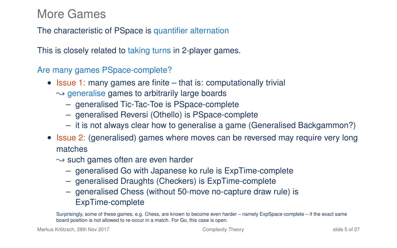The characteristic of PSpace is quantifier alternation

This is closely related to taking turns in 2-player games.

Are many games PSpace-complete?

- Issue 1: many games are finite that is: computationally trivial  $\rightarrow$  generalise games to arbitrarily large boards
	- generalised Tic-Tac-Toe is PSpace-complete
	- generalised Reversi (Othello) is PSpace-complete
	- it is not always clear how to generalise a game (Generalised Backgammon?)
- Issue 2: (generalised) games where moves can be reversed may require very long matches
	- $\rightarrow$  such games often are even harder
		- generalised Go with Japanese ko rule is ExpTime-complete
		- generalised Draughts (Checkers) is ExpTime-complete
		- generalised Chess (without 50-move no-capture draw rule) is ExpTime-complete

Surprisingly, some of these games, e.g. Chess, are known to become even harder – namely ExpSpace-complete – if the exact same board position is not allowed to re-occur in a match. For Go, this case is open.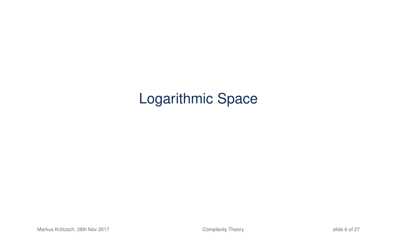# Logarithmic Space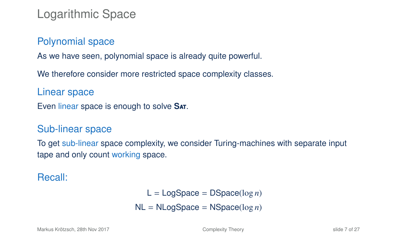### Logarithmic Space

#### Polynomial space

As we have seen, polynomial space is already quite powerful.

We therefore consider more restricted space complexity classes.

Linear space

Even linear space is enough to solve **S**at.

#### Sub-linear space

To get sub-linear space complexity, we consider Turing-machines with separate input tape and only count working space.

#### Recall:

#### $L = \text{LogSpace} = \text{DSpace}(\log n)$ NL = NLogSpace = NSpace(log *n*)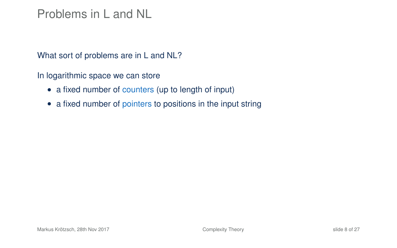#### Problems in L and NL

What sort of problems are in L and NL?

In logarithmic space we can store

- a fixed number of counters (up to length of input)
- a fixed number of pointers to positions in the input string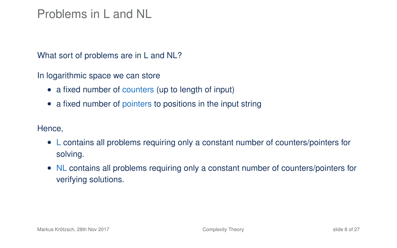#### Problems in L and NL

What sort of problems are in L and NL?

In logarithmic space we can store

- a fixed number of counters (up to length of input)
- a fixed number of pointers to positions in the input string

Hence,

- L contains all problems requiring only a constant number of counters/pointers for solving.
- NL contains all problems requiring only a constant number of counters/pointers for verifying solutions.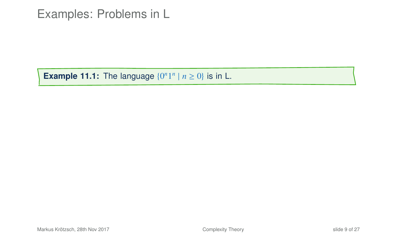**Example 11.1:** The language  $\{0^n 1^n | n \ge 0\}$  is in L.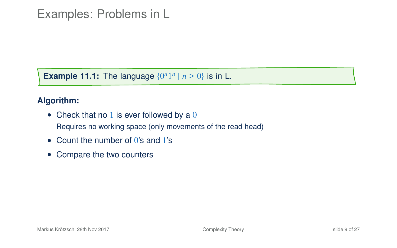**Example 11.1:** The language  $\{0^n 1^n | n \ge 0\}$  is in L.

#### **Algorithm:**

- Check that no 1 is ever followed by a  $0$ Requires no working space (only movements of the read head)
- Count the number of 0's and 1's
- Compare the two counters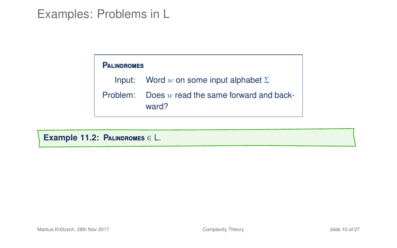#### **P**alindromes

Input: Word *w* on some input alphabet Σ

Problem: Does *w* read the same forward and back-

ward?

**Example 11.2: P**alindromes ∈ L.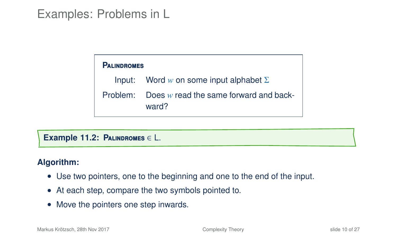| <b>PALINDROMES</b> |                                                            |  |  |  |  |  |  |  |  |
|--------------------|------------------------------------------------------------|--|--|--|--|--|--|--|--|
|                    | Input: Word w on some input alphabet $\Sigma$              |  |  |  |  |  |  |  |  |
|                    | Problem: Does $w$ read the same forward and back-<br>ward? |  |  |  |  |  |  |  |  |

**Example 11.2: P**alindromes ∈ L.

#### **Algorithm:**

- Use two pointers, one to the beginning and one to the end of the input.
- At each step, compare the two symbols pointed to.
- Move the pointers one step inwards.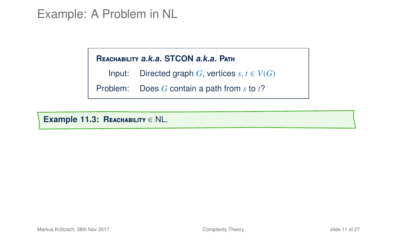#### Example: A Problem in NL

#### **R**eachability **a.k.a. STCON a.k.a. P**ath

Input: Directed graph *G*, vertices  $s, t \in V(G)$ 

Problem: Does *G* contain a path from *s* to *t*?

**Example 11.3: R**eachability ∈ NL.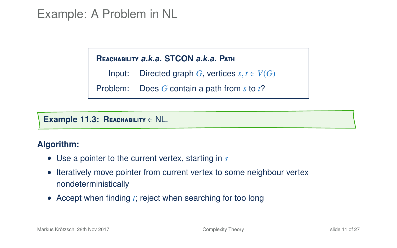### Example: A Problem in NL

#### **R**eachability **a.k.a. STCON a.k.a. P**ath

Input: Directed graph *G*, vertices  $s, t \in V(G)$ 

Problem: Does *G* contain a path from *s* to *t*?

#### **Example 11.3: R**eachability ∈ NL.

#### **Algorithm:**

- Use a pointer to the current vertex, starting in *s*
- Iteratively move pointer from current vertex to some neighbour vertex nondeterministically
- Accept when finding *t*; reject when searching for too long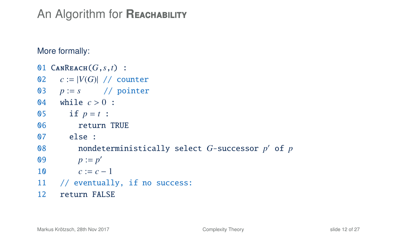# An Algorithm for **REACHABILITY**

More formally:

```
01 \text{CANREACH}(G, s, t) :
02 c := |V(G)| / / counter
03 p := s // pointer
04 while c > 0 :
05 if p = t :
06 return TRUE
07 else :
08 nondeterministically select G-successor p
0 of p
09 p := p'10 c := c - 111 // eventually, if no success:
12 return FALSE
```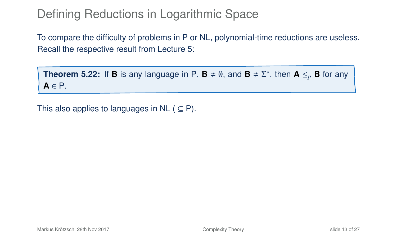## Defining Reductions in Logarithmic Space

To compare the difficulty of problems in P or NL, polynomial-time reductions are useless. Recall the respective result from Lecture 5:

**Theorem 5.22:** If **B** is any language in P,  $\mathbf{B} \neq \emptyset$ , and  $\mathbf{B} \neq \Sigma^*$ , then  $\mathbf{A} \leq_p \mathbf{B}$  for any **A** ∈ P.

This also applies to languages in NL ( $\subseteq$  P).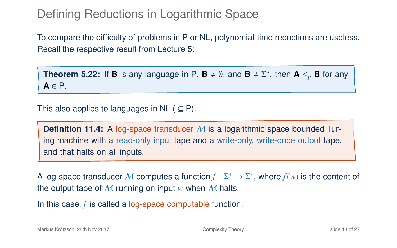## Defining Reductions in Logarithmic Space

To compare the difficulty of problems in P or NL, polynomial-time reductions are useless. Recall the respective result from Lecture 5:

**Theorem 5.22:** If **B** is any language in P,  $\mathbf{B} \neq \emptyset$ , and  $\mathbf{B} \neq \Sigma^*$ , then  $\mathbf{A} \leq_p \mathbf{B}$  for any **A** ∈ P.

This also applies to languages in NL ( $\subseteq$  P).

**Definition 11.4:** A log-space transducer M is a logarithmic space bounded Turing machine with a read-only input tape and a write-only, write-once output tape, and that halts on all inputs.

A log-space transducer M computes a function  $f : \Sigma^* \to \Sigma^*$ , where  $f(w)$  is the content of the output tape of  $M$  running on input  $w$  when  $M$  halts.

In this case, *f* is called a log-space computable function.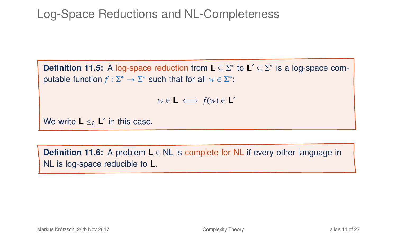# Log-Space Reductions and NL-Completeness

**Definition 11.5:** A log-space reduction from **L** ⊆ Σ<sup>\*</sup> to **L**' ⊆ Σ<sup>\*</sup> is a log-space computable function  $f : \Sigma^* \to \Sigma^*$  such that for all  $w \in \Sigma^*$ :

 $w \in L \iff f(w) \in L'$ 

We write  $L \leq_L L'$  in this case.

**Definition 11.6:** A problem **L** ∈ NL is complete for NL if every other language in NL is log-space reducible to **L**.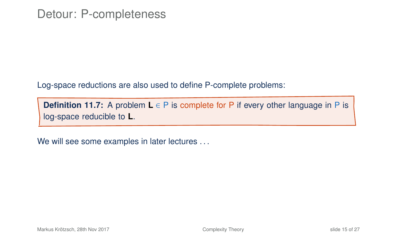Log-space reductions are also used to define P-complete problems:

**Definition 11.7:** A problem **L** ∈ P is complete for P if every other language in P is log-space reducible to **L**.

We will see some examples in later lectures ...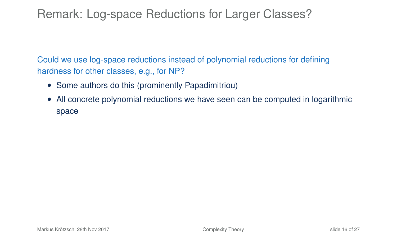#### Remark: Log-space Reductions for Larger Classes?

Could we use log-space reductions instead of polynomial reductions for defining hardness for other classes, e.g., for NP?

- Some authors do this (prominently Papadimitriou)
- All concrete polynomial reductions we have seen can be computed in logarithmic space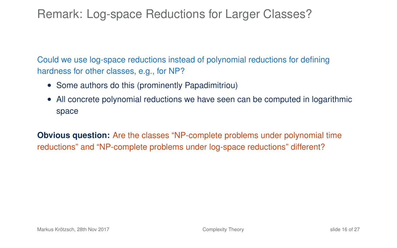#### Remark: Log-space Reductions for Larger Classes?

Could we use log-space reductions instead of polynomial reductions for defining hardness for other classes, e.g., for NP?

- Some authors do this (prominently Papadimitriou)
- All concrete polynomial reductions we have seen can be computed in logarithmic space

**Obvious question:** Are the classes "NP-complete problems under polynomial time reductions" and "NP-complete problems under log-space reductions" different?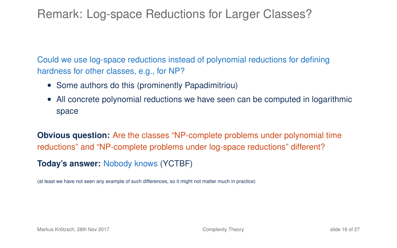Remark: Log-space Reductions for Larger Classes?

Could we use log-space reductions instead of polynomial reductions for defining hardness for other classes, e.g., for NP?

- Some authors do this (prominently Papadimitriou)
- All concrete polynomial reductions we have seen can be computed in logarithmic space

**Obvious question:** Are the classes "NP-complete problems under polynomial time reductions" and "NP-complete problems under log-space reductions" different?

**Today's answer:** Nobody knows (YCTBF)

(at least we have not seen any example of such differences, so it might not matter much in practice)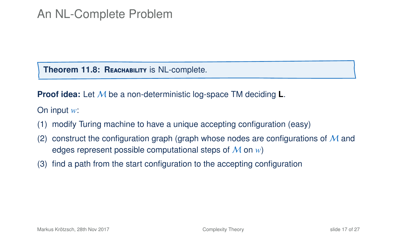#### An NL-Complete Problem

**Theorem 11.8: REACHABILITY IS NL-complete.** 

**Proof idea:** Let M be a non-deterministic log-space TM deciding **L**.

On input *w*:

- (1) modify Turing machine to have a unique accepting configuration (easy)
- (2) construct the configuration graph (graph whose nodes are configurations of  $\overline{M}$  and edges represent possible computational steps of M on *w*)
- (3) find a path from the start configuration to the accepting configuration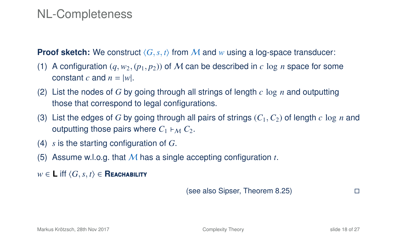#### NL-Completeness

**Proof sketch:** We construct  $\langle G, s, t \rangle$  from M and w using a log-space transducer:

- (1) A configuration  $(a, w_2, (p_1, p_2))$  of M can be described in c log *n* space for some constant *c* and  $n = |w|$ .
- (2) List the nodes of *G* by going through all strings of length *c* log *n* and outputting those that correspond to legal configurations.
- (3) List the edges of *G* by going through all pairs of strings (*C*<sup>1</sup>,*C*2) of length *c* log *n* and outputting those pairs where  $C_1 \vDash_{\mathcal{M}} C_2$ .
- (4) *s* is the starting configuration of *G*.
- (5) Assume w.l.o.g. that M has a single accepting configuration *t*.
- *w* ∈ **L** iff  $\langle G, s, t \rangle$  ∈ **Reachability**

(see also Sipser, Theorem 8.25)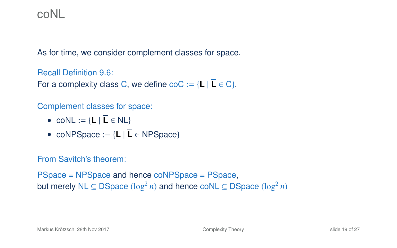#### coNL

As for time, we consider complement classes for space.

Recall Definition 9.6:

For a complexity class C, we define  $\text{coC} := \{L \mid \overline{L} \in C\}.$ 

#### Complement classes for space:

- $coNL := \{L | \overline{L} \in NL\}$
- coNPSpace  $:= \{L \mid \overline{L} \in \text{NPSpace}\}\$

#### From Savitch's theorem:

PSpace = NPSpace and hence coNPSpace = PSpace, but merely NL ⊆ DSpace (log<sup>2</sup> *n*) and hence coNL ⊆ DSpace (log<sup>2</sup> *n*)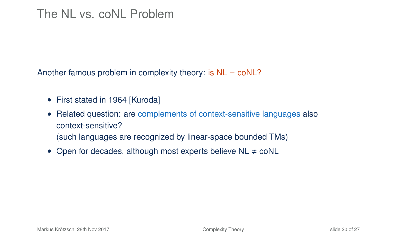#### The NL vs. coNL Problem

Another famous problem in complexity theory: is  $NL = \text{co}NL$ ?

- First stated in 1964 [Kuroda]
- Related question: are complements of context-sensitive languages also context-sensitive? (such languages are recognized by linear-space bounded TMs)
- Open for decades, although most experts believe  $NL \neq \text{co}NL$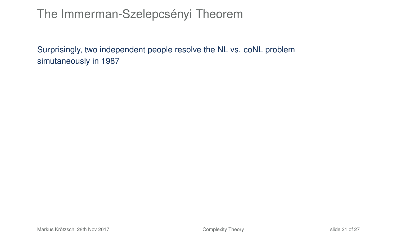## The Immerman-Szelepcsényi Theorem

Surprisingly, two independent people resolve the NL vs. coNL problem simutaneously in 1987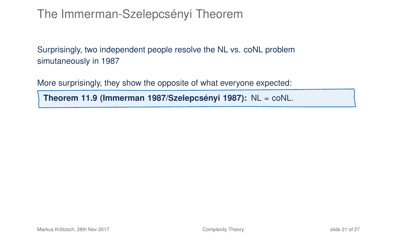# The Immerman-Szelepcsényi Theorem

Surprisingly, two independent people resolve the NL vs. coNL problem simutaneously in 1987

More surprisingly, they show the opposite of what everyone expected:

**Theorem 11.9 (Immerman 1987/Szelepcsényi 1987):** NL = coNL.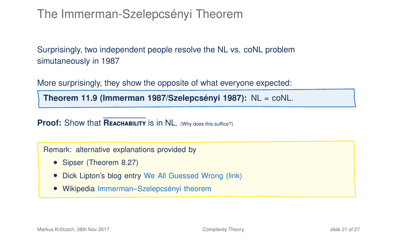# The Immerman-Szelepcsényi Theorem

Surprisingly, two independent people resolve the NL vs. coNL problem simutaneously in 1987

More surprisingly, they show the opposite of what everyone expected:

**Theorem 11.9 (Immerman 1987/Szelepcsényi 1987):** NL = coNL.

**Proof:** Show that **REACHABILITY** is in NL. (Why does this suffice?)

Remark: alternative explanations provided by

- Sipser (Theorem 8.27)
- Dick Lipton's blog entry [We All Guessed Wrong \(link\)](https://rjlipton.wordpress.com/2009/02/19/we-all-guessed-wrong/)
- Wikipedia [Immerman–Szelepcsényi theorem](https://en.wikipedia.org/wiki/Immerman%E2%80%93Szelepcs%C3%A9nyi_theorem)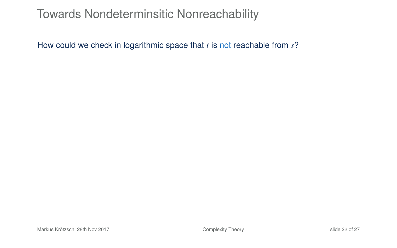How could we check in logarithmic space that *t* is not reachable from *s*?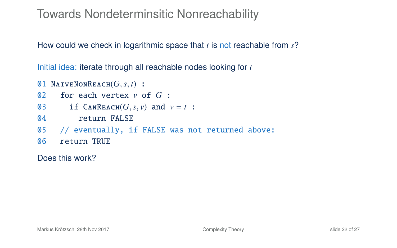How could we check in logarithmic space that *t* is not reachable from *s*?

Initial idea: iterate through all reachable nodes looking for *t*

- 01 NAIVENONREACH $(G, s, t)$  :<br>02 for each vertex  $v$  c
- for each vertex  $v$  of  $G$  :
- 03 if CANREACH( $G$ ,  $s$ ,  $v$ ) and  $v = t$  :<br>04 return FALSE
- return FALSE
- 05 // eventually, if FALSE was not returned above:
- 06 return TRUE

Does this work?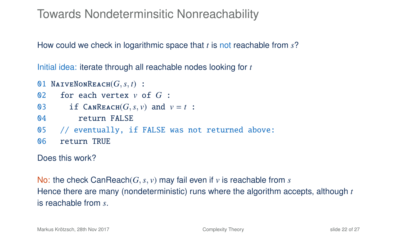How could we check in logarithmic space that *t* is not reachable from *s*?

Initial idea: iterate through all reachable nodes looking for *t*

```
01 NAIVENONREACH(G, s, t) :<br>02 for each vertex v c
      for each vertex v of G :
03 if \text{CanReach}(G, s, v) and v = t:<br>04 return FALSE
           return FALSE
05 // eventually, if FALSE was not returned above:
06 return TRUE
```
Does this work?

No: the check CanReach(*G*,*s*, *v*) may fail even if *v* is reachable from *s* Hence there are many (nondeterministic) runs where the algorithm accepts, although *t* is reachable from *s*.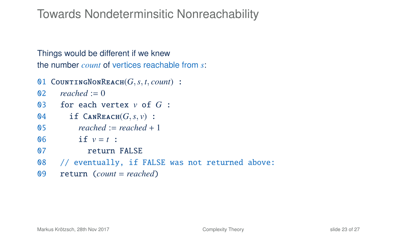Things would be different if we knew the number *count* of vertices reachable from *s*:

```
01 COUNTINGNONREACH(G, s, t, count) :<br>02 reached := 0
```

```
reached := 0
```

```
03 for each vertex v of G :
```

```
04 if \text{CanReach}(G, s, v):<br>05 reached := reached +
```

```
reached := reached + 1
```

```
06 if v = t :
```

```
07 return FALSE
```

```
08 // eventually, if FALSE was not returned above:
```

```
09 return (count = reached)
```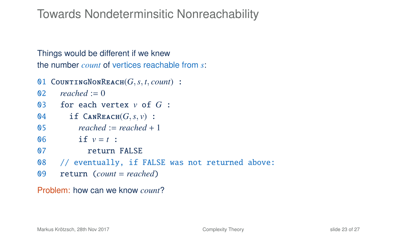Things would be different if we knew the number *count* of vertices reachable from *s*:

```
01 COUNTINGNONREACH(G, s, t, count) :<br>02 reached := 0
```

```
reached := 0
```

```
03 for each vertex v of G :
```

```
04 if \text{CanReach}(G, s, v):<br>05 reached := reached +
```

```
reached := reached + 1
```

```
06 if v = t :
```

```
07 return FALSE
```

```
08 // eventually, if FALSE was not returned above:
```

```
09 return (count = reached)
```
Problem: how can we know *count*?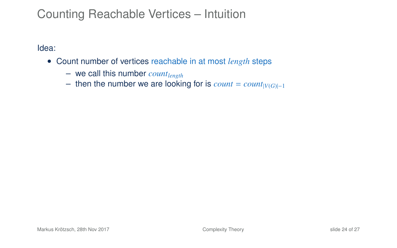## Counting Reachable Vertices – Intuition

Idea:

- Count number of vertices reachable in at most *length* steps
	- we call this number *countlength*
	- then the number we are looking for is  $count = count_{|V(G)|-1}$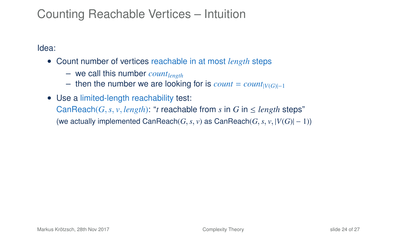## Counting Reachable Vertices – Intuition

Idea:

- Count number of vertices reachable in at most *length* steps
	- we call this number *countlength*
	- then the number we are looking for is  $count = count_{|V(G)|-1}$
- Use a limited-length reachability test: CanReach(*G*, *s*, *v*, *length*): "*t* reachable from *s* in *G* in  $\leq$  *length* steps" (we actually implemented CanReach( $G, s, v$ ) as CanReach( $G, s, v, |V(G)| - 1$ ))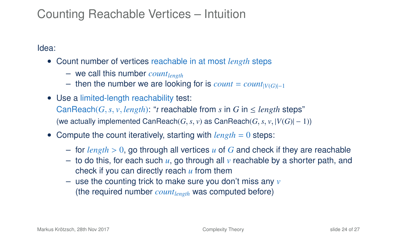### Counting Reachable Vertices – Intuition

Idea:

- Count number of vertices reachable in at most *length* steps
	- we call this number *countlength*
	- $-$  then the number we are looking for is  $count = count|V(G)|-1$
- Use a limited-length reachability test: CanReach(*G*, *s*, *v*, *length*): "*t* reachable from *s* in *G* in  $\leq$  *length* steps" (we actually implemented CanReach( $G, s, v$ ) as CanReach( $G, s, v, |V(G)| - 1$ ))
- Compute the count iteratively, starting with *length* = 0 steps:
	- for *length* > <sup>0</sup>, go through all vertices *<sup>u</sup>* of *<sup>G</sup>* and check if they are reachable
	- to do this, for each such *u*, go through all *v* reachable by a shorter path, and check if you can directly reach *u* from them
	- use the counting trick to make sure you don't miss any *v* (the required number *countlength* was computed before)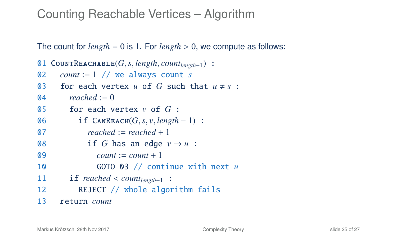#### Counting Reachable Vertices – Algorithm

The count for  $length = 0$  is 1. For  $length > 0$ , we compute as follows:

```
01 CountReachable(G,s, length, countlength−1) :
      count := 1 // we always count s
03 for each vertex u of G such that u \neq s:
\mathbb{0}4 reached := 0
05 for each vertex v of G :
06 if \text{CanReach}(G, s, v, length - 1):<br>07 \text{reached} := \text{reached} + 1reached := reached + 108 if G has an edge v \rightarrow u :
09 count := count + 1
10 GOTO 03 // continue with next u
11 if reached < count<sub>length−1 :<br>12 REIECT // whole algor</sub>
           REJECT // whole algorithm fails
13 return count
```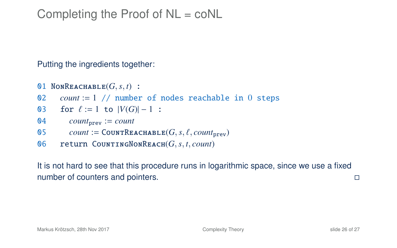### Completing the Proof of NL = coNL

Putting the ingredients together:

- 01 NONREACHABLE $(G, s, t)$  :<br>02 *count* := 1 // number *count* :=  $1$  // number of nodes reachable in 0 steps
- 03 for  $\ell := 1$  to  $|V(G)| 1$  :<br>04 *count*<sub>num</sub>  $=$  *count*
- $count_{\text{prev}} := count$
- 05 *count* := COUNTREACHABLE(*G*, *s*, *t*, *count*<sub>prev</sub>)<br>06 **return** COUNTINGNONREACH(*G s t*, *count*)
- <sup>06</sup> return CountingNonReach(*G*,*s*, *<sup>t</sup>*, *count*)

It is not hard to see that this procedure runs in logarithmic space, since we use a fixed number of counters and pointers.